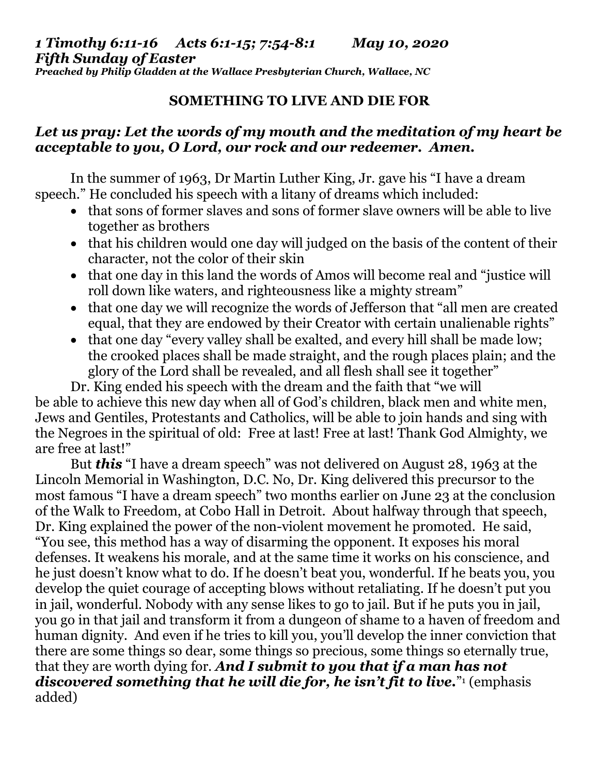## *1 Timothy 6:11-16 Acts 6:1-15; 7:54-8:1 May 10, 2020 Fifth Sunday of Easter*

*Preached by Philip Gladden at the Wallace Presbyterian Church, Wallace, NC*

## **SOMETHING TO LIVE AND DIE FOR**

## *Let us pray: Let the words of my mouth and the meditation of my heart be acceptable to you, O Lord, our rock and our redeemer. Amen.*

In the summer of 1963, Dr Martin Luther King, Jr. gave his "I have a dream speech." He concluded his speech with a litany of dreams which included:

- that sons of former slaves and sons of former slave owners will be able to live together as brothers
- that his children would one day will judged on the basis of the content of their character, not the color of their skin
- that one day in this land the words of Amos will become real and "justice will roll down like waters, and righteousness like a mighty stream"
- that one day we will recognize the words of Jefferson that "all men are created equal, that they are endowed by their Creator with certain unalienable rights"
- that one day "every valley shall be exalted, and every hill shall be made low; the crooked places shall be made straight, and the rough places plain; and the glory of the Lord shall be revealed, and all flesh shall see it together"

Dr. King ended his speech with the dream and the faith that "we will be able to achieve this new day when all of God's children, black men and white men, Jews and Gentiles, Protestants and Catholics, will be able to join hands and sing with the Negroes in the spiritual of old: Free at last! Free at last! Thank God Almighty, we are free at last!"

But *this* "I have a dream speech" was not delivered on August 28, 1963 at the Lincoln Memorial in Washington, D.C. No, Dr. King delivered this precursor to the most famous "I have a dream speech" two months earlier on June 23 at the conclusion of the Walk to Freedom, at Cobo Hall in Detroit. About halfway through that speech, Dr. King explained the power of the non-violent movement he promoted. He said, "You see, this method has a way of disarming the opponent. It exposes his moral defenses. It weakens his morale, and at the same time it works on his conscience, and he just doesn't know what to do. If he doesn't beat you, wonderful. If he beats you, you develop the quiet courage of accepting blows without retaliating. If he doesn't put you in jail, wonderful. Nobody with any sense likes to go to jail. But if he puts you in jail, you go in that jail and transform it from a dungeon of shame to a haven of freedom and human dignity. And even if he tries to kill you, you'll develop the inner conviction that there are some things so dear, some things so precious, some things so eternally true, that they are worth dying for. *And I submit to you that if a man has not discovered something that he will die for, he isn't fit to live.*" <sup>1</sup> (emphasis added)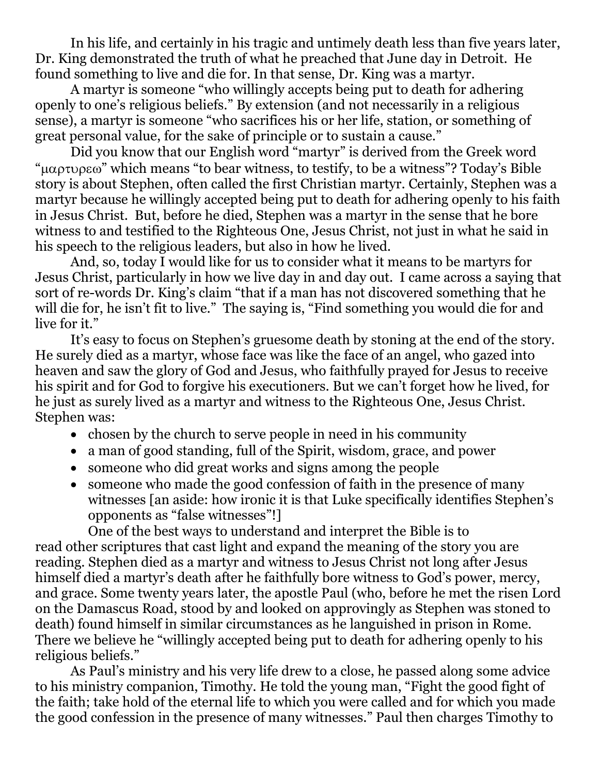In his life, and certainly in his tragic and untimely death less than five years later, Dr. King demonstrated the truth of what he preached that June day in Detroit. He found something to live and die for. In that sense, Dr. King was a martyr.

A martyr is someone "who willingly accepts being put to death for adhering openly to one's religious beliefs." By extension (and not necessarily in a religious sense), a martyr is someone "who sacrifices his or her life, station, or something of great personal value, for the sake of principle or to sustain a cause."

Did you know that our English word "martyr" is derived from the Greek word " $\mu\alpha\rho\tau\nu\rho\epsilon\omega$ " which means "to bear witness, to testify, to be a witness"? Today's Bible story is about Stephen, often called the first Christian martyr. Certainly, Stephen was a martyr because he willingly accepted being put to death for adhering openly to his faith in Jesus Christ. But, before he died, Stephen was a martyr in the sense that he bore witness to and testified to the Righteous One, Jesus Christ, not just in what he said in his speech to the religious leaders, but also in how he lived.

And, so, today I would like for us to consider what it means to be martyrs for Jesus Christ, particularly in how we live day in and day out. I came across a saying that sort of re-words Dr. King's claim "that if a man has not discovered something that he will die for, he isn't fit to live." The saying is, "Find something you would die for and live for it."

It's easy to focus on Stephen's gruesome death by stoning at the end of the story. He surely died as a martyr, whose face was like the face of an angel, who gazed into heaven and saw the glory of God and Jesus, who faithfully prayed for Jesus to receive his spirit and for God to forgive his executioners. But we can't forget how he lived, for he just as surely lived as a martyr and witness to the Righteous One, Jesus Christ. Stephen was:

- chosen by the church to serve people in need in his community
- a man of good standing, full of the Spirit, wisdom, grace, and power
- someone who did great works and signs among the people
- someone who made the good confession of faith in the presence of many witnesses [an aside: how ironic it is that Luke specifically identifies Stephen's opponents as "false witnesses"!]

One of the best ways to understand and interpret the Bible is to read other scriptures that cast light and expand the meaning of the story you are reading. Stephen died as a martyr and witness to Jesus Christ not long after Jesus himself died a martyr's death after he faithfully bore witness to God's power, mercy, and grace. Some twenty years later, the apostle Paul (who, before he met the risen Lord on the Damascus Road, stood by and looked on approvingly as Stephen was stoned to death) found himself in similar circumstances as he languished in prison in Rome. There we believe he "willingly accepted being put to death for adhering openly to his religious beliefs."

As Paul's ministry and his very life drew to a close, he passed along some advice to his ministry companion, Timothy. He told the young man, "Fight the good fight of the faith; take hold of the eternal life to which you were called and for which you made the good confession in the presence of many witnesses." Paul then charges Timothy to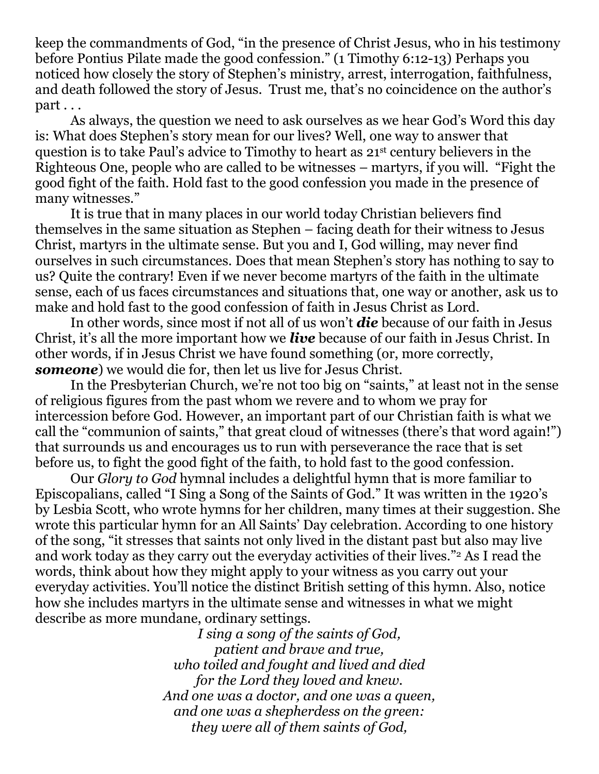keep the commandments of God, "in the presence of Christ Jesus, who in his testimony before Pontius Pilate made the good confession." (1 Timothy 6:12-13) Perhaps you noticed how closely the story of Stephen's ministry, arrest, interrogation, faithfulness, and death followed the story of Jesus. Trust me, that's no coincidence on the author's part . . .

As always, the question we need to ask ourselves as we hear God's Word this day is: What does Stephen's story mean for our lives? Well, one way to answer that question is to take Paul's advice to Timothy to heart as 21st century believers in the Righteous One, people who are called to be witnesses – martyrs, if you will. "Fight the good fight of the faith. Hold fast to the good confession you made in the presence of many witnesses."

It is true that in many places in our world today Christian believers find themselves in the same situation as Stephen – facing death for their witness to Jesus Christ, martyrs in the ultimate sense. But you and I, God willing, may never find ourselves in such circumstances. Does that mean Stephen's story has nothing to say to us? Quite the contrary! Even if we never become martyrs of the faith in the ultimate sense, each of us faces circumstances and situations that, one way or another, ask us to make and hold fast to the good confession of faith in Jesus Christ as Lord.

In other words, since most if not all of us won't *die* because of our faith in Jesus Christ, it's all the more important how we *live* because of our faith in Jesus Christ. In other words, if in Jesus Christ we have found something (or, more correctly, *someone*) we would die for, then let us live for Jesus Christ.

In the Presbyterian Church, we're not too big on "saints," at least not in the sense of religious figures from the past whom we revere and to whom we pray for intercession before God. However, an important part of our Christian faith is what we call the "communion of saints," that great cloud of witnesses (there's that word again!") that surrounds us and encourages us to run with perseverance the race that is set before us, to fight the good fight of the faith, to hold fast to the good confession.

Our *Glory to God* hymnal includes a delightful hymn that is more familiar to Episcopalians, called "I Sing a Song of the Saints of God." It was written in the 1920's by Lesbia Scott, who wrote hymns for her children, many times at their suggestion. She wrote this particular hymn for an All Saints' Day celebration. According to one history of the song, "it stresses that saints not only lived in the distant past but also may live and work today as they carry out the everyday activities of their lives."<sup>2</sup> As I read the words, think about how they might apply to your witness as you carry out your everyday activities. You'll notice the distinct British setting of this hymn. Also, notice how she includes martyrs in the ultimate sense and witnesses in what we might describe as more mundane, ordinary settings.

> *I sing a song of the saints of God, patient and brave and true, who toiled and fought and lived and died for the Lord they loved and knew. And one was a doctor, and one was a queen, and one was a shepherdess on the green: they were all of them saints of God,*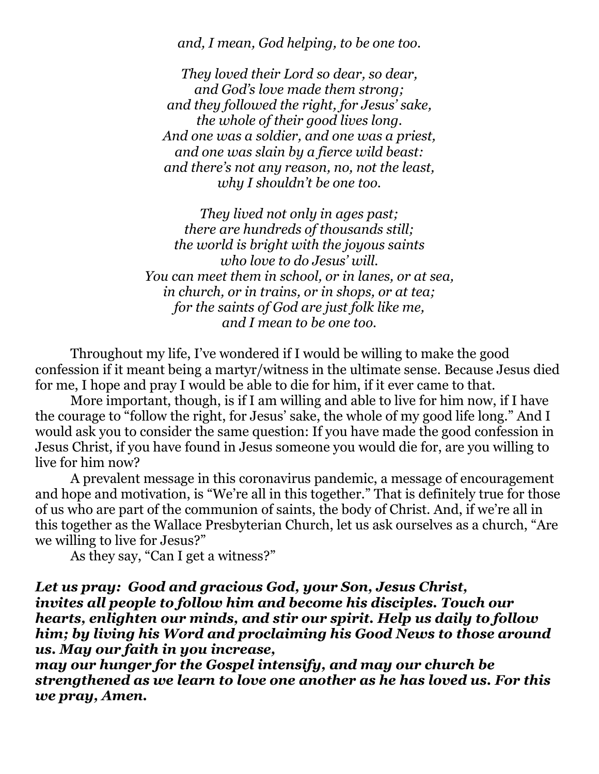*and, I mean, God helping, to be one too.*

*They loved their Lord so dear, so dear, and God's love made them strong; and they followed the right, for Jesus' sake, the whole of their good lives long. And one was a soldier, and one was a priest, and one was slain by a fierce wild beast: and there's not any reason, no, not the least, why I shouldn't be one too.*

*They lived not only in ages past; there are hundreds of thousands still; the world is bright with the joyous saints who love to do Jesus' will. You can meet them in school, or in lanes, or at sea, in church, or in trains, or in shops, or at tea; for the saints of God are just folk like me, and I mean to be one too.*

Throughout my life, I've wondered if I would be willing to make the good confession if it meant being a martyr/witness in the ultimate sense. Because Jesus died for me, I hope and pray I would be able to die for him, if it ever came to that.

More important, though, is if I am willing and able to live for him now, if I have the courage to "follow the right, for Jesus' sake, the whole of my good life long." And I would ask you to consider the same question: If you have made the good confession in Jesus Christ, if you have found in Jesus someone you would die for, are you willing to live for him now?

A prevalent message in this coronavirus pandemic, a message of encouragement and hope and motivation, is "We're all in this together." That is definitely true for those of us who are part of the communion of saints, the body of Christ. And, if we're all in this together as the Wallace Presbyterian Church, let us ask ourselves as a church, "Are we willing to live for Jesus?"

As they say, "Can I get a witness?"

*Let us pray: Good and gracious God, your Son, Jesus Christ, invites all people to follow him and become his disciples. Touch our hearts, enlighten our minds, and stir our spirit. Help us daily to follow him; by living his Word and proclaiming his Good News to those around us. May our faith in you increase,*

*may our hunger for the Gospel intensify, and may our church be strengthened as we learn to love one another as he has loved us. For this we pray, Amen.*